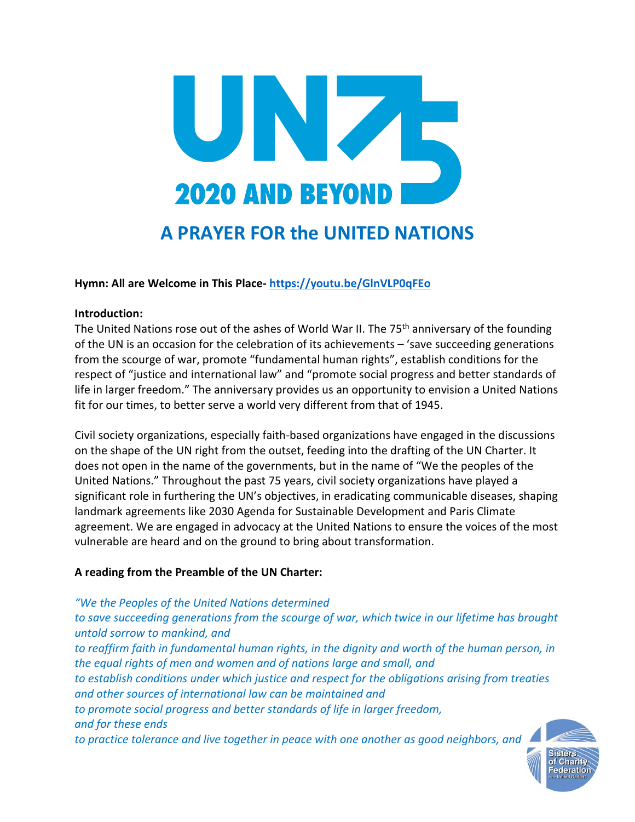

## **Hymn: All are Welcome in This Place- <https://youtu.be/GlnVLP0qFEo>**

#### **Introduction:**

The United Nations rose out of the ashes of World War II. The 75<sup>th</sup> anniversary of the founding of the UN is an occasion for the celebration of its achievements – 'save succeeding generations from the scourge of war, promote "fundamental human rights", establish conditions for the respect of "justice and international law" and "promote social progress and better standards of life in larger freedom." The anniversary provides us an opportunity to envision a United Nations fit for our times, to better serve a world very different from that of 1945.

Civil society organizations, especially faith-based organizations have engaged in the discussions on the shape of the UN right from the outset, feeding into the drafting of the UN Charter. It does not open in the name of the governments, but in the name of "We the peoples of the United Nations." Throughout the past 75 years, civil society organizations have played a significant role in furthering the UN's objectives, in eradicating communicable diseases, shaping landmark agreements like 2030 Agenda for Sustainable Development and Paris Climate agreement. We are engaged in advocacy at the United Nations to ensure the voices of the most vulnerable are heard and on the ground to bring about transformation.

## **A reading from the Preamble of the UN Charter:**

*"We the Peoples of the United Nations determined to save succeeding generations from the scourge of war, which twice in our lifetime has brought untold sorrow to mankind, and to reaffirm faith in fundamental human rights, in the dignity and worth of the human person, in the equal rights of men and women and of nations large and small, and to establish conditions under which justice and respect for the obligations arising from treaties and other sources of international law can be maintained and to promote social progress and better standards of life in larger freedom, and for these ends to practice tolerance and live together in peace with one another as good neighbors, and* 

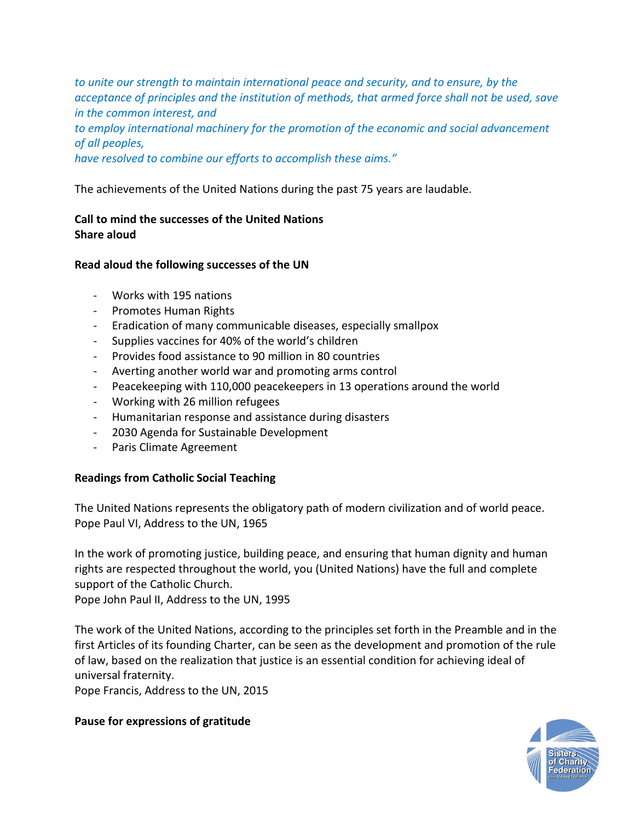*to unite our strength to maintain international peace and security, and to ensure, by the acceptance of principles and the institution of methods, that armed force shall not be used, save in the common interest, and to employ international machinery for the promotion of the economic and social advancement of all peoples, have resolved to combine our efforts to accomplish these aims."*

The achievements of the United Nations during the past 75 years are laudable.

# **Call to mind the successes of the United Nations Share aloud**

## **Read aloud the following successes of the UN**

- Works with 195 nations
- Promotes Human Rights
- Eradication of many communicable diseases, especially smallpox
- Supplies vaccines for 40% of the world's children
- Provides food assistance to 90 million in 80 countries
- Averting another world war and promoting arms control
- Peacekeeping with 110,000 peacekeepers in 13 operations around the world
- Working with 26 million refugees
- Humanitarian response and assistance during disasters
- 2030 Agenda for Sustainable Development
- Paris Climate Agreement

## **Readings from Catholic Social Teaching**

The United Nations represents the obligatory path of modern civilization and of world peace. Pope Paul VI, Address to the UN, 1965

In the work of promoting justice, building peace, and ensuring that human dignity and human rights are respected throughout the world, you (United Nations) have the full and complete support of the Catholic Church.

Pope John Paul II, Address to the UN, 1995

The work of the United Nations, according to the principles set forth in the Preamble and in the first Articles of its founding Charter, can be seen as the development and promotion of the rule of law, based on the realization that justice is an essential condition for achieving ideal of universal fraternity.

Pope Francis, Address to the UN, 2015

## **Pause for expressions of gratitude**

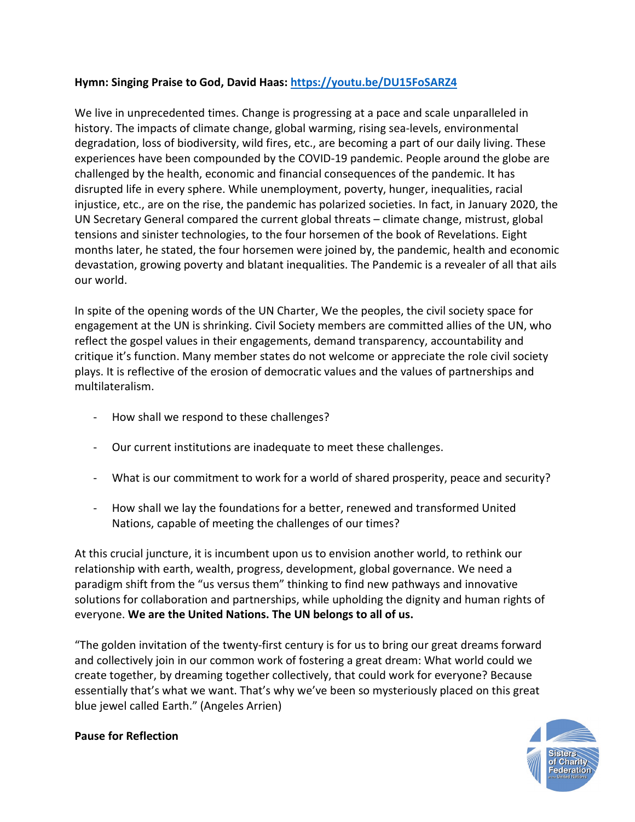# **Hymn: Singing Praise to God, David Haas:<https://youtu.be/DU15FoSARZ4>**

We live in unprecedented times. Change is progressing at a pace and scale unparalleled in history. The impacts of climate change, global warming, rising sea-levels, environmental degradation, loss of biodiversity, wild fires, etc., are becoming a part of our daily living. These experiences have been compounded by the COVID-19 pandemic. People around the globe are challenged by the health, economic and financial consequences of the pandemic. It has disrupted life in every sphere. While unemployment, poverty, hunger, inequalities, racial injustice, etc., are on the rise, the pandemic has polarized societies. In fact, in January 2020, the UN Secretary General compared the current global threats – climate change, mistrust, global tensions and sinister technologies, to the four horsemen of the book of Revelations. Eight months later, he stated, the four horsemen were joined by, the pandemic, health and economic devastation, growing poverty and blatant inequalities. The Pandemic is a revealer of all that ails our world.

In spite of the opening words of the UN Charter, We the peoples, the civil society space for engagement at the UN is shrinking. Civil Society members are committed allies of the UN, who reflect the gospel values in their engagements, demand transparency, accountability and critique it's function. Many member states do not welcome or appreciate the role civil society plays. It is reflective of the erosion of democratic values and the values of partnerships and multilateralism.

- How shall we respond to these challenges?
- Our current institutions are inadequate to meet these challenges.
- What is our commitment to work for a world of shared prosperity, peace and security?
- How shall we lay the foundations for a better, renewed and transformed United Nations, capable of meeting the challenges of our times?

At this crucial juncture, it is incumbent upon us to envision another world, to rethink our relationship with earth, wealth, progress, development, global governance. We need a paradigm shift from the "us versus them" thinking to find new pathways and innovative solutions for collaboration and partnerships, while upholding the dignity and human rights of everyone. **We are the United Nations. The UN belongs to all of us.**

"The golden invitation of the twenty-first century is for us to bring our great dreams forward and collectively join in our common work of fostering a great dream: What world could we create together, by dreaming together collectively, that could work for everyone? Because essentially that's what we want. That's why we've been so mysteriously placed on this great blue jewel called Earth." (Angeles Arrien)



## **Pause for Reflection**